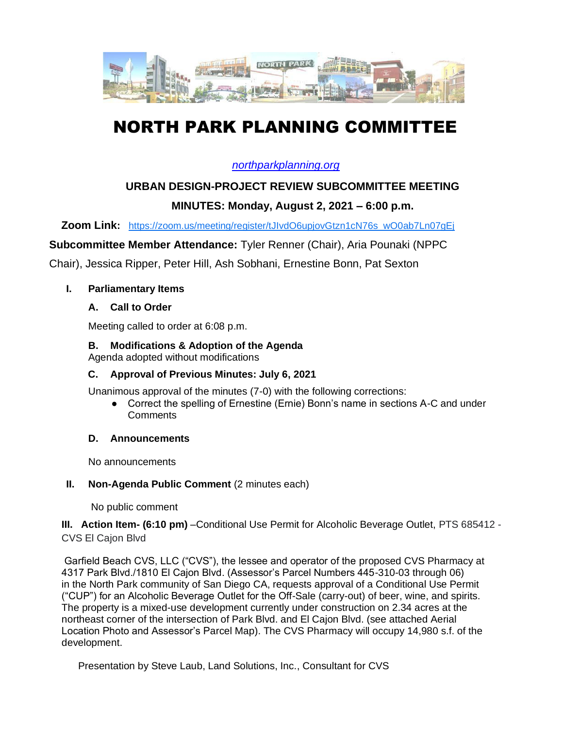

# NORTH PARK PLANNING COMMITTEE

### *[northparkplanning.org](http://www.northparkplanning.org/)*

# **URBAN DESIGN-PROJECT REVIEW SUBCOMMITTEE MEETING**

## **MINUTES: Monday, August 2, 2021 – 6:00 p.m.**

**Zoom Link:** [https://zoom.us/meeting/register/tJIvdO6upjovGtzn1cN76s\\_wO0ab7Ln07gEj](https://zoom.us/meeting/register/tJIvdO6upjovGtzn1cN76s_wO0ab7Ln07gEj)

**Subcommittee Member Attendance:** Tyler Renner (Chair), Aria Pounaki (NPPC

Chair), Jessica Ripper, Peter Hill, Ash Sobhani, Ernestine Bonn, Pat Sexton

#### **I. Parliamentary Items**

#### **A. Call to Order**

Meeting called to order at 6:08 p.m.

#### **B. Modifications & Adoption of the Agenda**

Agenda adopted without modifications

#### **C. Approval of Previous Minutes: July 6, 2021**

Unanimous approval of the minutes (7-0) with the following corrections:

● Correct the spelling of Ernestine (Ernie) Bonn's name in sections A-C and under **Comments** 

#### **D. Announcements**

No announcements

#### **II.** Non-Agenda Public Comment (2 minutes each)

No public comment

**III. Action Item- (6:10 pm)** –Conditional Use Permit for Alcoholic Beverage Outlet, PTS 685412 - CVS El Cajon Blvd

Garfield Beach CVS, LLC ("CVS"), the lessee and operator of the proposed CVS Pharmacy at 4317 Park Blvd./1810 El Cajon Blvd. (Assessor's Parcel Numbers 445-310-03 through 06) in the North Park community of San Diego CA, requests approval of a Conditional Use Permit ("CUP") for an Alcoholic Beverage Outlet for the Off-Sale (carry-out) of beer, wine, and spirits. The property is a mixed-use development currently under construction on 2.34 acres at the northeast corner of the intersection of Park Blvd. and El Cajon Blvd. (see attached Aerial Location Photo and Assessor's Parcel Map). The CVS Pharmacy will occupy 14,980 s.f. of the development.

Presentation by Steve Laub, Land Solutions, Inc., Consultant for CVS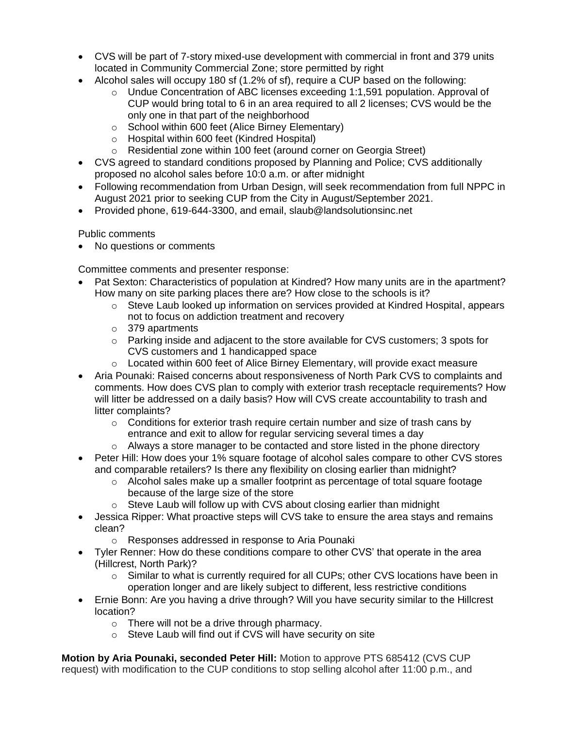- CVS will be part of 7-story mixed-use development with commercial in front and 379 units located in Community Commercial Zone; store permitted by right
- Alcohol sales will occupy 180 sf (1.2% of sf), require a CUP based on the following:
	- $\circ$  Undue Concentration of ABC licenses exceeding 1:1,591 population. Approval of CUP would bring total to 6 in an area required to all 2 licenses; CVS would be the only one in that part of the neighborhood
	- o School within 600 feet (Alice Birney Elementary)
	- o Hospital within 600 feet (Kindred Hospital)
	- o Residential zone within 100 feet (around corner on Georgia Street)
- CVS agreed to standard conditions proposed by Planning and Police; CVS additionally proposed no alcohol sales before 10:0 a.m. or after midnight
- Following recommendation from Urban Design, will seek recommendation from full NPPC in August 2021 prior to seeking CUP from the City in August/September 2021.
- Provided phone, 619-644-3300, and email, slaub@landsolutionsinc.net

#### Public comments

• No questions or comments

Committee comments and presenter response:

- Pat Sexton: Characteristics of population at Kindred? How many units are in the apartment? How many on site parking places there are? How close to the schools is it?
	- $\circ$  Steve Laub looked up information on services provided at Kindred Hospital, appears not to focus on addiction treatment and recovery
	- o 379 apartments
	- o Parking inside and adjacent to the store available for CVS customers; 3 spots for CVS customers and 1 handicapped space
	- $\circ$  Located within 600 feet of Alice Birney Elementary, will provide exact measure
- Aria Pounaki: Raised concerns about responsiveness of North Park CVS to complaints and comments. How does CVS plan to comply with exterior trash receptacle requirements? How will litter be addressed on a daily basis? How will CVS create accountability to trash and litter complaints?
	- $\circ$  Conditions for exterior trash require certain number and size of trash cans by entrance and exit to allow for regular servicing several times a day
	- $\circ$  Always a store manager to be contacted and store listed in the phone directory
- Peter Hill: How does your 1% square footage of alcohol sales compare to other CVS stores and comparable retailers? Is there any flexibility on closing earlier than midnight?
	- o Alcohol sales make up a smaller footprint as percentage of total square footage because of the large size of the store
	- o Steve Laub will follow up with CVS about closing earlier than midnight
- Jessica Ripper: What proactive steps will CVS take to ensure the area stays and remains clean?
	- o Responses addressed in response to Aria Pounaki
- Tyler Renner: How do these conditions compare to other CVS' that operate in the area (Hillcrest, North Park)?
	- $\circ$  Similar to what is currently required for all CUPs; other CVS locations have been in operation longer and are likely subject to different, less restrictive conditions
- Ernie Bonn: Are you having a drive through? Will you have security similar to the Hillcrest location?
	- o There will not be a drive through pharmacy.
	- o Steve Laub will find out if CVS will have security on site

**Motion by Aria Pounaki, seconded Peter Hill:** Motion to approve PTS 685412 (CVS CUP request) with modification to the CUP conditions to stop selling alcohol after 11:00 p.m., and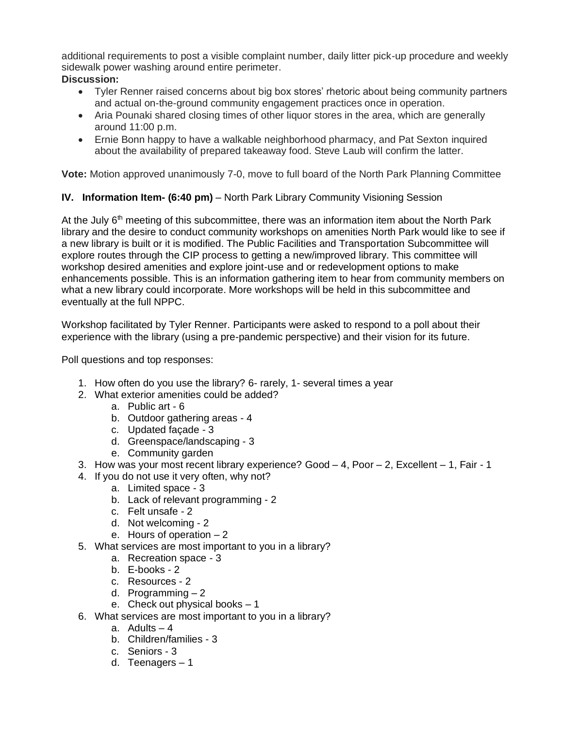additional requirements to post a visible complaint number, daily litter pick-up procedure and weekly sidewalk power washing around entire perimeter. **Discussion:**

- Tyler Renner raised concerns about big box stores' rhetoric about being community partners and actual on-the-ground community engagement practices once in operation.
- Aria Pounaki shared closing times of other liquor stores in the area, which are generally around 11:00 p.m.
- Ernie Bonn happy to have a walkable neighborhood pharmacy, and Pat Sexton inquired about the availability of prepared takeaway food. Steve Laub will confirm the latter.

**Vote:** Motion approved unanimously 7-0, move to full board of the North Park Planning Committee

#### **IV. Information Item- (6:40 pm)** – North Park Library Community Visioning Session

At the July  $6<sup>th</sup>$  meeting of this subcommittee, there was an information item about the North Park library and the desire to conduct community workshops on amenities North Park would like to see if a new library is built or it is modified. The Public Facilities and Transportation Subcommittee will explore routes through the CIP process to getting a new/improved library. This committee will workshop desired amenities and explore joint-use and or redevelopment options to make enhancements possible. This is an information gathering item to hear from community members on what a new library could incorporate. More workshops will be held in this subcommittee and eventually at the full NPPC.

Workshop facilitated by Tyler Renner. Participants were asked to respond to a poll about their experience with the library (using a pre-pandemic perspective) and their vision for its future.

Poll questions and top responses:

- 1. How often do you use the library? 6- rarely, 1- several times a year
- 2. What exterior amenities could be added?
	- a. Public art 6
	- b. Outdoor gathering areas 4
	- c. Updated façade 3
	- d. Greenspace/landscaping 3
	- e. Community garden
- 3. How was your most recent library experience? Good 4, Poor 2, Excellent 1, Fair 1
- 4. If you do not use it very often, why not?
	- a. Limited space 3
	- b. Lack of relevant programming 2
	- c. Felt unsafe 2
	- d. Not welcoming 2
	- e. Hours of operation 2
- 5. What services are most important to you in a library?
	- a. Recreation space 3
	- b. E-books 2
	- c. Resources 2
	- d. Programming 2
	- e. Check out physical books 1
- 6. What services are most important to you in a library?
	- a. Adults  $-4$
	- b. Children/families 3
	- c. Seniors 3
	- d. Teenagers 1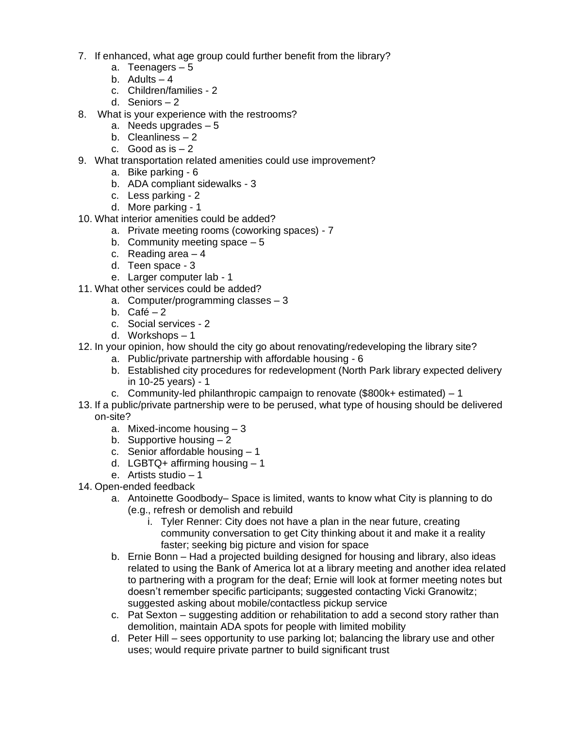- 7. If enhanced, what age group could further benefit from the library?
	- a. Teenagers 5
	- b. Adults  $-4$
	- c. Children/families 2
	- d. Seniors 2
- 8. What is your experience with the restrooms?
	- a. Needs upgrades 5
	- b. Cleanliness 2
	- c. Good as  $is 2$
- 9. What transportation related amenities could use improvement?
	- a. Bike parking 6
	- b. ADA compliant sidewalks 3
	- c. Less parking 2
	- d. More parking 1
- 10. What interior amenities could be added?
	- a. Private meeting rooms (coworking spaces) 7
	- b. Community meeting space  $-5$
	- c. Reading area 4
	- d. Teen space 3
	- e. Larger computer lab 1
- 11. What other services could be added?
	- a. Computer/programming classes 3
	- b.  $Café 2$
	- c. Social services 2
	- d. Workshops 1
- 12. In your opinion, how should the city go about renovating/redeveloping the library site?
	- a. Public/private partnership with affordable housing 6
	- b. Established city procedures for redevelopment (North Park library expected delivery in 10-25 years) - 1
	- c. Community-led philanthropic campaign to renovate  $(\$800k+$  estimated) 1
- 13. If a public/private partnership were to be perused, what type of housing should be delivered on-site?
	- a. Mixed-income housing 3
	- b. Supportive housing  $-2$
	- c. Senior affordable housing 1
	- d. LGBTQ+ affirming housing  $-1$
	- e. Artists studio 1
- 14. Open-ended feedback
	- a. Antoinette Goodbody– Space is limited, wants to know what City is planning to do (e.g., refresh or demolish and rebuild
		- i. Tyler Renner: City does not have a plan in the near future, creating community conversation to get City thinking about it and make it a reality faster; seeking big picture and vision for space
	- b. Ernie Bonn Had a projected building designed for housing and library, also ideas related to using the Bank of America lot at a library meeting and another idea related to partnering with a program for the deaf; Ernie will look at former meeting notes but doesn't remember specific participants; suggested contacting Vicki Granowitz; suggested asking about mobile/contactless pickup service
	- c. Pat Sexton suggesting addition or rehabilitation to add a second story rather than demolition, maintain ADA spots for people with limited mobility
	- d. Peter Hill sees opportunity to use parking lot; balancing the library use and other uses; would require private partner to build significant trust